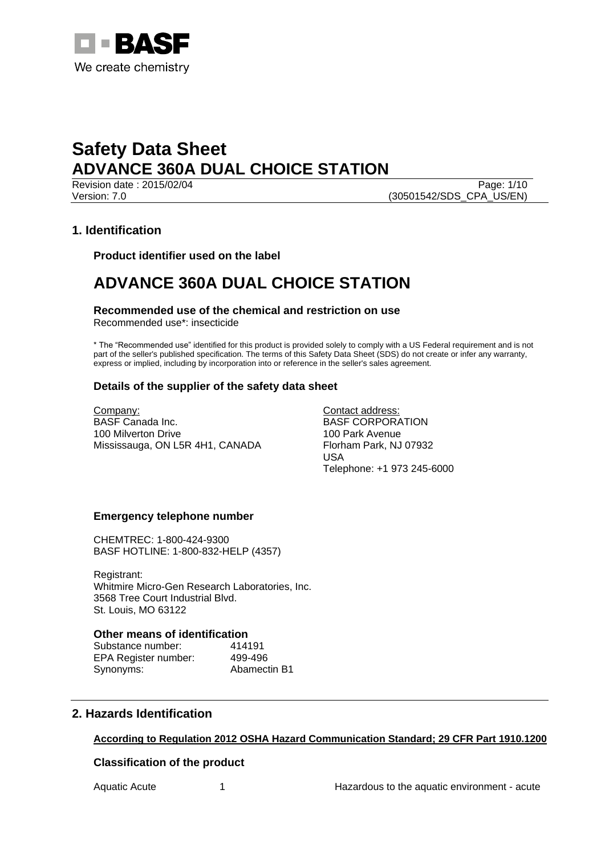

Revision date : 2015/02/04 Page: 1/10 Version: 7.0 (30501542/SDS\_CPA\_US/EN)

# **1. Identification**

**Product identifier used on the label**

# **ADVANCE 360A DUAL CHOICE STATION**

**Recommended use of the chemical and restriction on use** Recommended use\*: insecticide

\* The "Recommended use" identified for this product is provided solely to comply with a US Federal requirement and is not part of the seller's published specification. The terms of this Safety Data Sheet (SDS) do not create or infer any warranty, express or implied, including by incorporation into or reference in the seller's sales agreement.

## **Details of the supplier of the safety data sheet**

Company: BASF Canada Inc. 100 Milverton Drive Mississauga, ON L5R 4H1, CANADA Contact address: BASF CORPORATION 100 Park Avenue Florham Park, NJ 07932 USA Telephone: +1 973 245-6000

### **Emergency telephone number**

CHEMTREC: 1-800-424-9300 BASF HOTLINE: 1-800-832-HELP (4357)

Registrant: Whitmire Micro-Gen Research Laboratories, Inc. 3568 Tree Court Industrial Blvd. St. Louis, MO 63122

### **Other means of identification**

| Substance number:    | 414191       |
|----------------------|--------------|
| EPA Register number: | 499-496      |
| Synonyms:            | Abamectin B1 |

# **2. Hazards Identification**

## **According to Regulation 2012 OSHA Hazard Communication Standard; 29 CFR Part 1910.1200**

### **Classification of the product**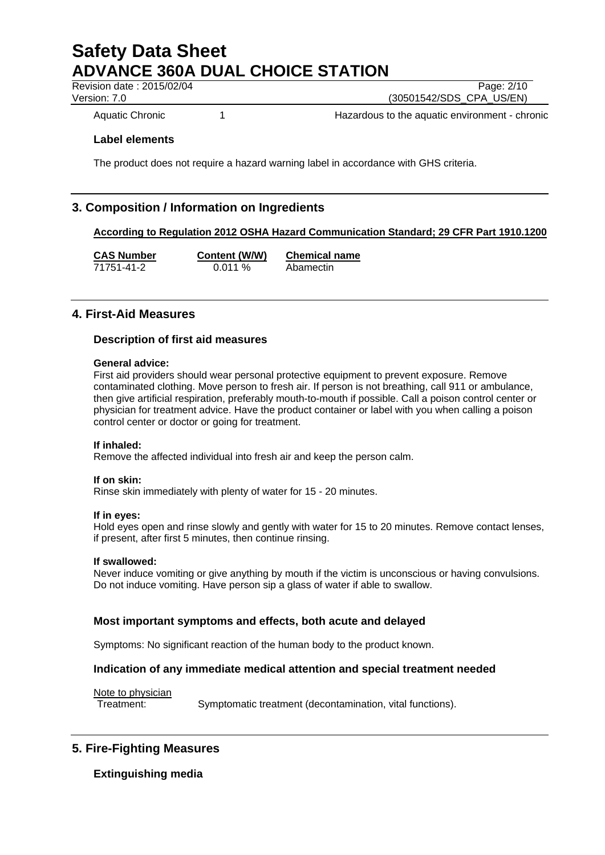Revision date : 2015/02/04 Page: 2/10

Version: 7.0 (30501542/SDS\_CPA\_US/EN)

Aquatic Chronic 1 1 1 Hazardous to the aquatic environment - chronic

## **Label elements**

The product does not require a hazard warning label in accordance with GHS criteria.

# **3. Composition / Information on Ingredients**

## **According to Regulation 2012 OSHA Hazard Communication Standard; 29 CFR Part 1910.1200**

**CAS Number Content (W/W) Chemical name**

71751-41-2 0.011 % Abamectin

# **4. First-Aid Measures**

## **Description of first aid measures**

## **General advice:**

First aid providers should wear personal protective equipment to prevent exposure. Remove contaminated clothing. Move person to fresh air. If person is not breathing, call 911 or ambulance, then give artificial respiration, preferably mouth-to-mouth if possible. Call a poison control center or physician for treatment advice. Have the product container or label with you when calling a poison control center or doctor or going for treatment.

### **If inhaled:**

Remove the affected individual into fresh air and keep the person calm.

### **If on skin:**

Rinse skin immediately with plenty of water for 15 - 20 minutes.

### **If in eyes:**

Hold eyes open and rinse slowly and gently with water for 15 to 20 minutes. Remove contact lenses, if present, after first 5 minutes, then continue rinsing.

### **If swallowed:**

Never induce vomiting or give anything by mouth if the victim is unconscious or having convulsions. Do not induce vomiting. Have person sip a glass of water if able to swallow.

## **Most important symptoms and effects, both acute and delayed**

Symptoms: No significant reaction of the human body to the product known.

## **Indication of any immediate medical attention and special treatment needed**

Note to physician

Treatment: Symptomatic treatment (decontamination, vital functions).

# **5. Fire-Fighting Measures**

**Extinguishing media**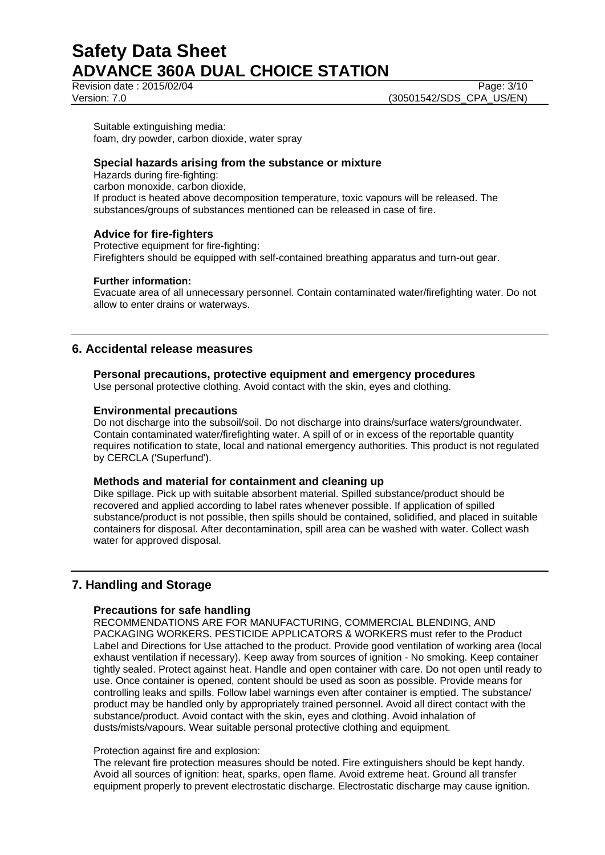Revision date : 2015/02/04 Page: 3/10

Version: 7.0 (30501542/SDS\_CPA\_US/EN)

Suitable extinguishing media: foam, dry powder, carbon dioxide, water spray

## **Special hazards arising from the substance or mixture**

Hazards during fire-fighting: carbon monoxide, carbon dioxide, If product is heated above decomposition temperature, toxic vapours will be released. The substances/groups of substances mentioned can be released in case of fire.

## **Advice for fire-fighters**

Protective equipment for fire-fighting: Firefighters should be equipped with self-contained breathing apparatus and turn-out gear.

### **Further information:**

Evacuate area of all unnecessary personnel. Contain contaminated water/firefighting water. Do not allow to enter drains or waterways.

# **6. Accidental release measures**

## **Personal precautions, protective equipment and emergency procedures**

Use personal protective clothing. Avoid contact with the skin, eyes and clothing.

### **Environmental precautions**

Do not discharge into the subsoil/soil. Do not discharge into drains/surface waters/groundwater. Contain contaminated water/firefighting water. A spill of or in excess of the reportable quantity requires notification to state, local and national emergency authorities. This product is not regulated by CERCLA ('Superfund').

### **Methods and material for containment and cleaning up**

Dike spillage. Pick up with suitable absorbent material. Spilled substance/product should be recovered and applied according to label rates whenever possible. If application of spilled substance/product is not possible, then spills should be contained, solidified, and placed in suitable containers for disposal. After decontamination, spill area can be washed with water. Collect wash water for approved disposal.

# **7. Handling and Storage**

## **Precautions for safe handling**

RECOMMENDATIONS ARE FOR MANUFACTURING, COMMERCIAL BLENDING, AND PACKAGING WORKERS. PESTICIDE APPLICATORS & WORKERS must refer to the Product Label and Directions for Use attached to the product. Provide good ventilation of working area (local exhaust ventilation if necessary). Keep away from sources of ignition - No smoking. Keep container tightly sealed. Protect against heat. Handle and open container with care. Do not open until ready to use. Once container is opened, content should be used as soon as possible. Provide means for controlling leaks and spills. Follow label warnings even after container is emptied. The substance/ product may be handled only by appropriately trained personnel. Avoid all direct contact with the substance/product. Avoid contact with the skin, eyes and clothing. Avoid inhalation of dusts/mists/vapours. Wear suitable personal protective clothing and equipment.

### Protection against fire and explosion:

The relevant fire protection measures should be noted. Fire extinguishers should be kept handy. Avoid all sources of ignition: heat, sparks, open flame. Avoid extreme heat. Ground all transfer equipment properly to prevent electrostatic discharge. Electrostatic discharge may cause ignition.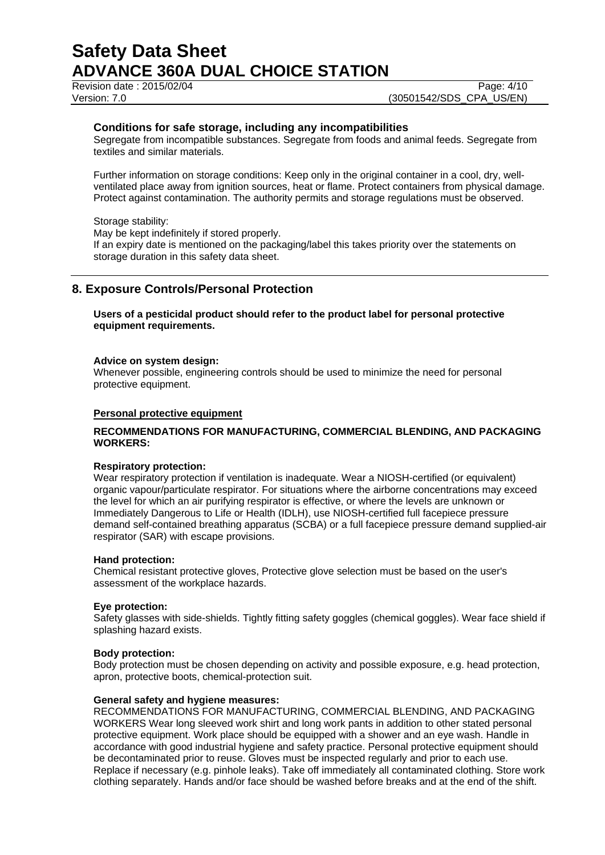Revision date : 2015/02/04 Page: 4/10

### **Conditions for safe storage, including any incompatibilities**

Segregate from incompatible substances. Segregate from foods and animal feeds. Segregate from textiles and similar materials.

Further information on storage conditions: Keep only in the original container in a cool, dry, wellventilated place away from ignition sources, heat or flame. Protect containers from physical damage. Protect against contamination. The authority permits and storage regulations must be observed.

Storage stability:

May be kept indefinitely if stored properly.

If an expiry date is mentioned on the packaging/label this takes priority over the statements on storage duration in this safety data sheet.

# **8. Exposure Controls/Personal Protection**

**Users of a pesticidal product should refer to the product label for personal protective equipment requirements.**

#### **Advice on system design:**

Whenever possible, engineering controls should be used to minimize the need for personal protective equipment.

### **Personal protective equipment**

## **RECOMMENDATIONS FOR MANUFACTURING, COMMERCIAL BLENDING, AND PACKAGING WORKERS:**

#### **Respiratory protection:**

Wear respiratory protection if ventilation is inadequate. Wear a NIOSH-certified (or equivalent) organic vapour/particulate respirator. For situations where the airborne concentrations may exceed the level for which an air purifying respirator is effective, or where the levels are unknown or Immediately Dangerous to Life or Health (IDLH), use NIOSH-certified full facepiece pressure demand self-contained breathing apparatus (SCBA) or a full facepiece pressure demand supplied-air respirator (SAR) with escape provisions.

### **Hand protection:**

Chemical resistant protective gloves, Protective glove selection must be based on the user's assessment of the workplace hazards.

#### **Eye protection:**

Safety glasses with side-shields. Tightly fitting safety goggles (chemical goggles). Wear face shield if splashing hazard exists.

#### **Body protection:**

Body protection must be chosen depending on activity and possible exposure, e.g. head protection, apron, protective boots, chemical-protection suit.

#### **General safety and hygiene measures:**

RECOMMENDATIONS FOR MANUFACTURING, COMMERCIAL BLENDING, AND PACKAGING WORKERS Wear long sleeved work shirt and long work pants in addition to other stated personal protective equipment. Work place should be equipped with a shower and an eye wash. Handle in accordance with good industrial hygiene and safety practice. Personal protective equipment should be decontaminated prior to reuse. Gloves must be inspected regularly and prior to each use. Replace if necessary (e.g. pinhole leaks). Take off immediately all contaminated clothing. Store work clothing separately. Hands and/or face should be washed before breaks and at the end of the shift.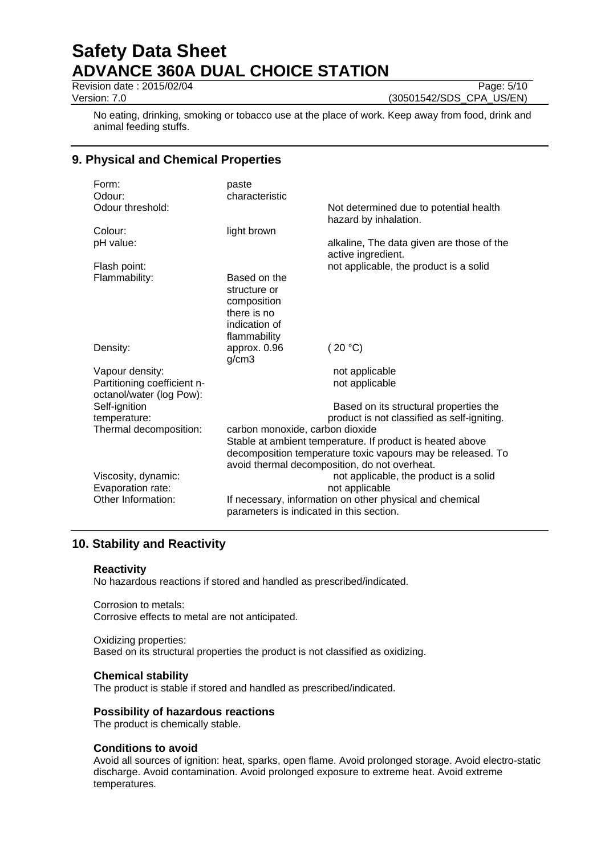Revision date : 2015/02/04 Page: 5/10

Version: 7.0 (30501542/SDS\_CPA\_US/EN)

No eating, drinking, smoking or tobacco use at the place of work. Keep away from food, drink and animal feeding stuffs.

# **9. Physical and Chemical Properties**

| Form:                         | paste                                                                                                                                                                                                        |                                                                 |  |
|-------------------------------|--------------------------------------------------------------------------------------------------------------------------------------------------------------------------------------------------------------|-----------------------------------------------------------------|--|
| Odour:                        | characteristic                                                                                                                                                                                               |                                                                 |  |
| Odour threshold:              |                                                                                                                                                                                                              | Not determined due to potential health<br>hazard by inhalation. |  |
| Colour:                       | light brown                                                                                                                                                                                                  |                                                                 |  |
| pH value:                     |                                                                                                                                                                                                              | alkaline, The data given are those of the<br>active ingredient. |  |
| Flash point:                  |                                                                                                                                                                                                              | not applicable, the product is a solid                          |  |
| Flammability:                 | Based on the                                                                                                                                                                                                 |                                                                 |  |
|                               | structure or                                                                                                                                                                                                 |                                                                 |  |
|                               | composition                                                                                                                                                                                                  |                                                                 |  |
|                               | there is no                                                                                                                                                                                                  |                                                                 |  |
|                               | indication of                                                                                                                                                                                                |                                                                 |  |
|                               | flammability                                                                                                                                                                                                 |                                                                 |  |
| Density:                      | approx. 0.96<br>g/cm3                                                                                                                                                                                        | (20 °C)                                                         |  |
| Vapour density:               |                                                                                                                                                                                                              | not applicable                                                  |  |
| Partitioning coefficient n-   |                                                                                                                                                                                                              | not applicable                                                  |  |
| octanol/water (log Pow):      |                                                                                                                                                                                                              |                                                                 |  |
| Self-ignition<br>temperature: |                                                                                                                                                                                                              | Based on its structural properties the                          |  |
| Thermal decomposition:        | product is not classified as self-igniting.                                                                                                                                                                  |                                                                 |  |
|                               | carbon monoxide, carbon dioxide<br>Stable at ambient temperature. If product is heated above<br>decomposition temperature toxic vapours may be released. To<br>avoid thermal decomposition, do not overheat. |                                                                 |  |
|                               |                                                                                                                                                                                                              |                                                                 |  |
|                               |                                                                                                                                                                                                              |                                                                 |  |
| Viscosity, dynamic:           | not applicable, the product is a solid                                                                                                                                                                       |                                                                 |  |
| Evaporation rate:             | not applicable                                                                                                                                                                                               |                                                                 |  |
| Other Information:            | If necessary, information on other physical and chemical<br>parameters is indicated in this section.                                                                                                         |                                                                 |  |
|                               |                                                                                                                                                                                                              |                                                                 |  |

# **10. Stability and Reactivity**

## **Reactivity**

No hazardous reactions if stored and handled as prescribed/indicated.

Corrosion to metals: Corrosive effects to metal are not anticipated.

### Oxidizing properties:

Based on its structural properties the product is not classified as oxidizing.

## **Chemical stability**

The product is stable if stored and handled as prescribed/indicated.

## **Possibility of hazardous reactions**

The product is chemically stable.

## **Conditions to avoid**

Avoid all sources of ignition: heat, sparks, open flame. Avoid prolonged storage. Avoid electro-static discharge. Avoid contamination. Avoid prolonged exposure to extreme heat. Avoid extreme temperatures.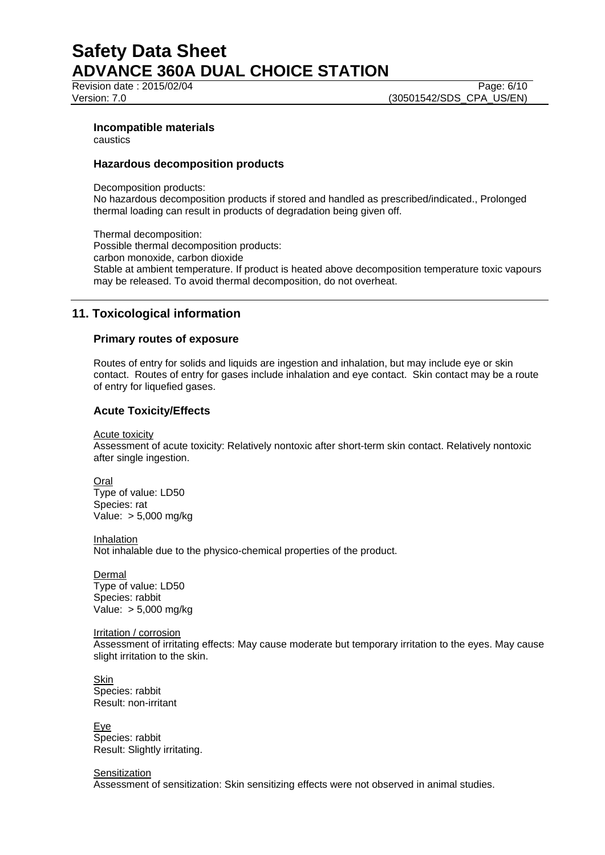Revision date : 2015/02/04 Page: 6/10

Version: 7.0 (30501542/SDS\_CPA\_US/EN)

## **Incompatible materials**

caustics

## **Hazardous decomposition products**

Decomposition products:

No hazardous decomposition products if stored and handled as prescribed/indicated., Prolonged thermal loading can result in products of degradation being given off.

Thermal decomposition: Possible thermal decomposition products: carbon monoxide, carbon dioxide Stable at ambient temperature. If product is heated above decomposition temperature toxic vapours may be released. To avoid thermal decomposition, do not overheat.

# **11. Toxicological information**

## **Primary routes of exposure**

Routes of entry for solids and liquids are ingestion and inhalation, but may include eye or skin contact. Routes of entry for gases include inhalation and eye contact. Skin contact may be a route of entry for liquefied gases.

## **Acute Toxicity/Effects**

Acute toxicity

Assessment of acute toxicity: Relatively nontoxic after short-term skin contact. Relatively nontoxic after single ingestion.

Oral Type of value: LD50 Species: rat Value: > 5,000 mg/kg

Inhalation Not inhalable due to the physico-chemical properties of the product.

Dermal Type of value: LD50 Species: rabbit Value: > 5,000 mg/kg

Irritation / corrosion Assessment of irritating effects: May cause moderate but temporary irritation to the eyes. May cause slight irritation to the skin.

Skin Species: rabbit Result: non-irritant

Eye Species: rabbit Result: Slightly irritating.

**Sensitization** Assessment of sensitization: Skin sensitizing effects were not observed in animal studies.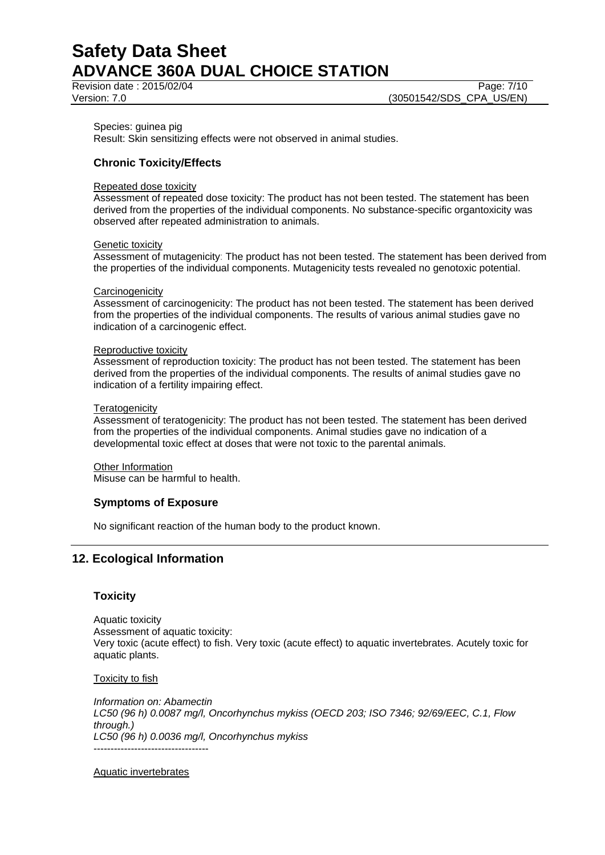Revision date : 2015/02/04 Page: 7/10

Species: guinea pig

Result: Skin sensitizing effects were not observed in animal studies.

# **Chronic Toxicity/Effects**

### Repeated dose toxicity

Assessment of repeated dose toxicity: The product has not been tested. The statement has been derived from the properties of the individual components. No substance-specific organtoxicity was observed after repeated administration to animals.

### Genetic toxicity

Assessment of mutagenicity: The product has not been tested. The statement has been derived from the properties of the individual components. Mutagenicity tests revealed no genotoxic potential.

### **Carcinogenicity**

Assessment of carcinogenicity: The product has not been tested. The statement has been derived from the properties of the individual components. The results of various animal studies gave no indication of a carcinogenic effect.

### Reproductive toxicity

Assessment of reproduction toxicity: The product has not been tested. The statement has been derived from the properties of the individual components. The results of animal studies gave no indication of a fertility impairing effect.

### **Teratogenicity**

Assessment of teratogenicity: The product has not been tested. The statement has been derived from the properties of the individual components. Animal studies gave no indication of a developmental toxic effect at doses that were not toxic to the parental animals.

Other Information Misuse can be harmful to health.

## **Symptoms of Exposure**

No significant reaction of the human body to the product known.

# **12. Ecological Information**

## **Toxicity**

Aquatic toxicity Assessment of aquatic toxicity: Very toxic (acute effect) to fish. Very toxic (acute effect) to aquatic invertebrates. Acutely toxic for aquatic plants.

## Toxicity to fish

*Information on: Abamectin LC50 (96 h) 0.0087 mg/l, Oncorhynchus mykiss (OECD 203; ISO 7346; 92/69/EEC, C.1, Flow through.) LC50 (96 h) 0.0036 mg/l, Oncorhynchus mykiss* ----------------------------------

Aquatic invertebrates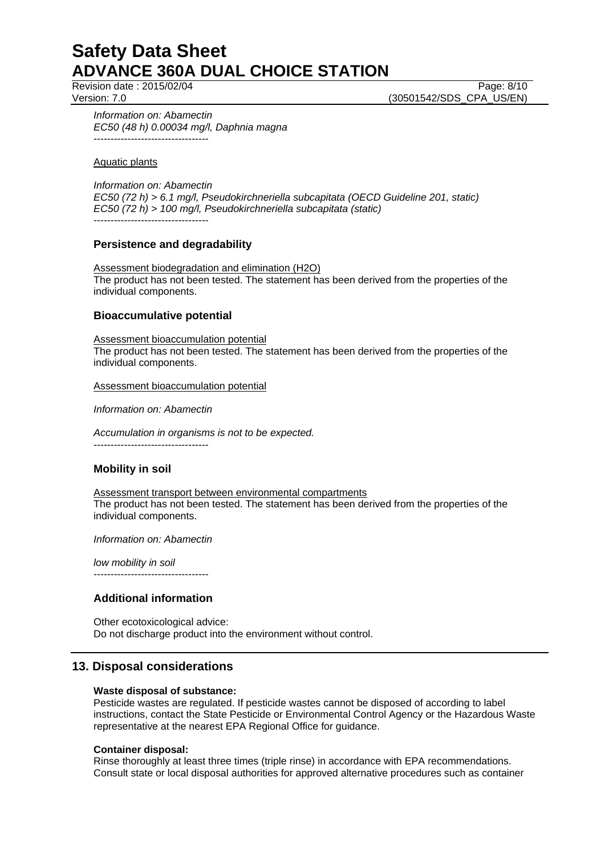Revision date : 2015/02/04 Page: 8/10

Version: 7.0 (30501542/SDS\_CPA\_US/EN)

*Information on: Abamectin EC50 (48 h) 0.00034 mg/l, Daphnia magna* ----------------------------------

Aquatic plants

*Information on: Abamectin EC50 (72 h) > 6.1 mg/l, Pseudokirchneriella subcapitata (OECD Guideline 201, static) EC50 (72 h) > 100 mg/l, Pseudokirchneriella subcapitata (static)* ----------------------------------

# **Persistence and degradability**

Assessment biodegradation and elimination (H2O) The product has not been tested. The statement has been derived from the properties of the individual components.

# **Bioaccumulative potential**

Assessment bioaccumulation potential The product has not been tested. The statement has been derived from the properties of the individual components.

Assessment bioaccumulation potential

*Information on: Abamectin*

*Accumulation in organisms is not to be expected.* ----------------------------------

# **Mobility in soil**

Assessment transport between environmental compartments The product has not been tested. The statement has been derived from the properties of the individual components.

*Information on: Abamectin*

*low mobility in soil*

# **Additional information**

----------------------------------

Other ecotoxicological advice: Do not discharge product into the environment without control.

# **13. Disposal considerations**

### **Waste disposal of substance:**

Pesticide wastes are regulated. If pesticide wastes cannot be disposed of according to label instructions, contact the State Pesticide or Environmental Control Agency or the Hazardous Waste representative at the nearest EPA Regional Office for guidance.

### **Container disposal:**

Rinse thoroughly at least three times (triple rinse) in accordance with EPA recommendations. Consult state or local disposal authorities for approved alternative procedures such as container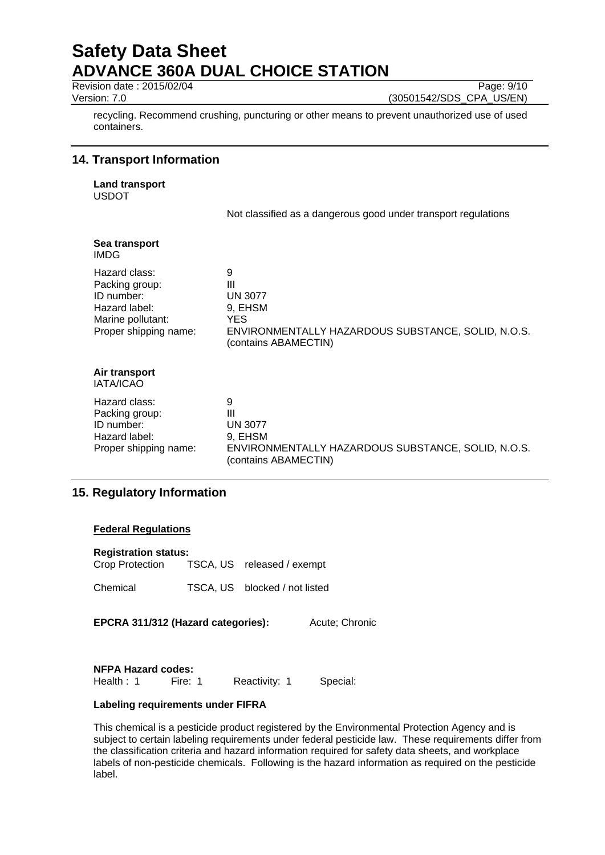Revision date : 2015/02/04 Page: 9/10

Version: 7.0 (30501542/SDS\_CPA\_US/EN)

recycling. Recommend crushing, puncturing or other means to prevent unauthorized use of used containers.

# **14. Transport Information**

**Land transport** USDOT

Not classified as a dangerous good under transport regulations

| Sea transport<br><b>IMDG</b>                                                                                 |                                                                                                                           |
|--------------------------------------------------------------------------------------------------------------|---------------------------------------------------------------------------------------------------------------------------|
| Hazard class:<br>Packing group:<br>ID number:<br>Hazard label:<br>Marine pollutant:<br>Proper shipping name: | 9<br>Ш<br><b>UN 3077</b><br>9, EHSM<br>YES.<br>ENVIRONMENTALLY HAZARDOUS SUBSTANCE, SOLID, N.O.S.<br>(contains ABAMECTIN) |
| Air transport<br><b>IATA/ICAO</b>                                                                            |                                                                                                                           |
| Hazard class:<br>Packing group:<br>ID number:<br>Hazard label:<br>Proper shipping name:                      | 9<br>Ш<br><b>UN 3077</b><br>9, EHSM<br>ENVIRONMENTALLY HAZARDOUS SUBSTANCE, SOLID, N.O.S.<br>(contains ABAMECTIN)         |

# **15. Regulatory Information**

## **Federal Regulations**

| <b>Registration status:</b> |                            |
|-----------------------------|----------------------------|
| Crop Protection             | TSCA, US released / exempt |

Chemical TSCA, US blocked / not listed

**EPCRA 311/312 (Hazard categories):** Acute; Chronic

| <b>NFPA Hazard codes:</b> |         |               |          |
|---------------------------|---------|---------------|----------|
| Health $: 1$              | Fire: 1 | Reactivity: 1 | Special: |

## **Labeling requirements under FIFRA**

This chemical is a pesticide product registered by the Environmental Protection Agency and is subject to certain labeling requirements under federal pesticide law. These requirements differ from the classification criteria and hazard information required for safety data sheets, and workplace labels of non-pesticide chemicals. Following is the hazard information as required on the pesticide label.